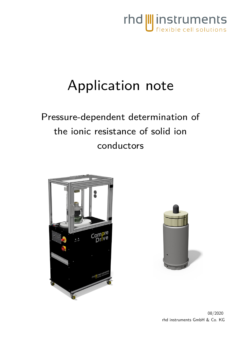

# Application note

Pressure-dependent determination of the ionic resistance of solid ion conductors



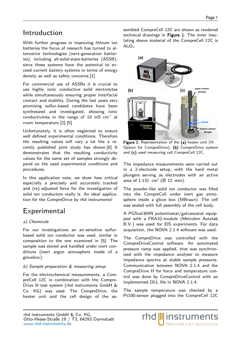## Introduction

With further progress in improving lithium ion batteries the focus of research has turned to alternative technologies (next-generation batteries), including all-solid-state-batteries (ASSB), since these systems have the potential to exceed current battery systems in terms of energy density as well as safety concerns.[\[1\]](#page-3-0)

For commercial use of ASSBs it is crucial to use highly ionic conductive solid electrolytes while simultaneously ensuring proper interfacial contact and stability. During the last years very promising sulfur-based candidates have been synthesized and investigated, showing ionic conductivities in the range of  $10\,$  mS  $\, \mathrm{cm}^{-1}$  at room temperature[.\[2\]](#page-3-1)[-\[5\]](#page-4-0)

Unfortunately, it is often neglected to ensure well defined experimental conditions. Therefore the resulting values will vary a lot like a recently published joint study has shown[.\[6\]](#page-4-1) It demonstrates that the resulting conductivity values for the same set of samples strongly depend on the used experimental conditions and procedures.

In this application note, we show how critical especially a precisely and accurately tracked and (re)-adjusted force for the investigation of solid ion conductors really is. An ideal application for the CompreDrive by rhd instruments!

# Experimental

## a) Chemicals

For our investigations an air-sensitive sulfurbased solid ion conductor was used, similar in composition to the one examined in [\[5\]](#page-4-0). The sample was stored and handled under inert conditions (inert argon atmosphere inside of a glovebox).

### b) Sample preparation & measuring setup

For the electrochemical measurements, a CompreCell 12C in combination with the Compre-Drive H test system (rhd instruments GmbH & Co. KG) was used. The CompreDrive, the heater unit and the cell design of the assembled CompreCell 12C are shown as rendered technical drawings in Figure [1.](#page-1-0) The inner insulating sleeve material of the CompreCell 12C is  $Al<sub>2</sub>O<sub>3</sub>$ .



<span id="page-1-0"></span>Figure 1: Representation of the (a) heater unit (H-Option for CompreDrive), (b) CompreDrive system and (c) used measuring cell CompreCell 12C.

The impedance measurements were carried out in a 2-electrode setup, with the hard metal plungers serving as electrodes with an active area of 1.131 cm<sup>2</sup> ( $\varnothing$  12 mm).

The powder-like solid ion conductor was filled into the CompreCell under inert gas atmosphere inside a glove box (MBraun). The cell was sealed with full assembly of the cell body.

A PGStat304N potentiostat/galvanostat equipped with a FRA32-module (Metrohm Autolab B.V.) was used for EIS experiments. For data acquisition, the NOVA 2.1.4 software was used.

The CompreDrive was controlled with the CompreDriveControl software. An automated pressure ramp was applied, that was synchronized with the impedance analyser to measure impedance spectra at stable sample pressures. Communication between NOVA 2.1.4 and the CompreDrive H for force and temperature control was done by CompreDriveControl with an implemented DLL file in NOVA 2.1.4.

The sample temperature was checked by a Pt100-sensor plugged into the CompreCell 12C

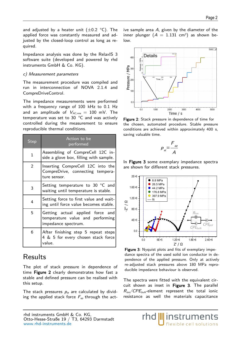and adjusted by a heater unit  $(\pm 0.2 \degree C)$ . The applied force was constantly measured and adjusted by the closed-loop control as long as required.

Impedance analysis was done by the RelaxIS 3 software suite (developed and powered by rhd instruments GmbH & Co. KG).

#### c) Measurement parameters

The measurement procedure was compiled and run in interconnection of NOVA 2.1.4 and CompreDriveControl.

The impedance measurements were performed with a frequency range of 100 kHz to 0.1 Hz and an amplitude of  $V_{AC,rms} = 100$  mV. The temperature was set to 30 °C and was actively controlled during the measurement to ensure reproducible thermal conditions.

| Step           | Action to be<br>performed                                                                   |
|----------------|---------------------------------------------------------------------------------------------|
| $\mathbf{1}$   | Assembling of CompreCell 12C in-<br>side a glove box, filling with sample.                  |
| $\mathfrak{D}$ | Inserting CompreCell 12C into the<br>CompreDrive, connecting tempera-<br>ture sensor.       |
| 3              | Setting temperature to 30 °C and<br>waiting until temperature is stable.                    |
| 4              | Setting force to first value and wait-<br>ing until force value becomes stable.             |
| 5              | Getting actual applied force and<br>temperature value and performing<br>impedance spectrum. |
| 6              | After finishing step 5 repeat steps<br>4 & 5 for every chosen stack force<br>value.         |

## Results

The plot of stack pressure in dependence of time Figure [2](#page-2-1) clearly demonstrates how fast a stable and defined pressure can be realised with this setup.

The stack pressures  $p_{st}$  are calculated by dividing the applied stack force  $F_{ap}$  through the act-



<span id="page-2-1"></span>Figure 2: Stack pressure in dependence of time for the chosen, automated procedure. Stable pressure conditions are achieved within approximately 400 s, saving valuable time.

$$
p_{st} = \frac{F_{ap}}{A}
$$

In Figure [3](#page-2-0) some exemplary impedance spectra are shown for different stack pressures.



<span id="page-2-0"></span>Figure 3: Nyquist plots and fits of exemplary impedance spectra of the used solid ion conductor in dependence of the applied pressure. Only at actively re-adjusted stack pressures above 180 MPa reproducible impedance behaviour is observed.

The spectra were fitted with the equivalent circuit shown as inset in Figure [3](#page-2-0). The parallel  $R_{ion}/CPE_{bulk}$ -element represent the total ionic resistance as well the materials capacitance

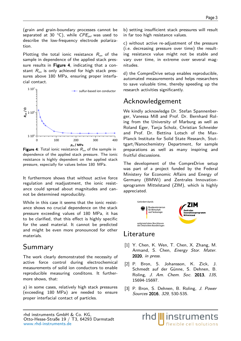(grain and grain-boundary processes cannot be separated at 30 °C), while  $CPE_{pol}$  was used to describe the low-frequency electrode polarization.

Plotting the total ionic resistance  $R_{ion}$  of the sample in dependence of the applied stack pres-sure results in Figure [4](#page-3-2), indicating that a constant  $R_{ion}$  is only achieved for high stack pressures above 180 MPa, ensuring proper interfacial contact.



<span id="page-3-2"></span>**Figure 4:** Total ionic resistance  $R_{ion}$  of the sample in dependence of the applied stack pressure. The ionic resistance is highly dependent on the applied stack pressure, especially for values below 180 MPa.

It furthermore shows that without active force regulation and readjustment, the ionic resistance could spread about magnitudes and cannot be determined reproducibly.

While in this case it seems that the ionic resistance shows no crucial dependence on the stack pressure exceeding values of 180 MPa, it has to be clarified, that this effect is highly specific for the used material. It cannot be predicted and might be even more pronounced for other materials.

## Summary

The work clearly demonstrated the necessity of active force control during electrochemical measurements of solid ion conductors to enable reproducible measuring conditons. It furthermore shows, that:

a) in some cases, relatively high stack pressures (exceeding 180 MPa) are needed to ensure proper interfacial contact of particles.

b) setting insufficient stack pressures will result in far too high resistance values.

c) without active re-adjustment of the pressure (i.e. decreasing pressure over time) the resulting resistance value might not be stable and vary over time, in extreme over several magnitudes.

d) the CompreDrive setup enables reproducible, automated measurements and helps researchers to save valuable time, thereby speeding up the research activities significantly.

## Acknowledgement

We kindly acknowledge Dr. Stefan Spannenberger, Vanessa Miß and Prof. Dr. Bernhard Roling from the University of Marburg as well as Roland Eger, Tanja Scholz, Christian Schneider and Prof. Dr. Bettina Lotsch of the Max-Planck Institute for Solid State Research, Stuttgart/Nanochemistry Department, for sample preparations as well as many inspiring and fruitful discussions.

The development of the CompreDrive setup was part of a project funded by the Federal Ministery for Economic Affairs and Energy of Germany (BMWi) and Zentrales Innovationsprogramm Mittelstand (ZIM), which is highly appreciated.



## Literature

rhd

- <span id="page-3-0"></span>[1] Y. Chen, K. Wen, T. Chen, X. Zhang, M. Armand, S. Chen, Energy Stor. Mater. 2020, in press.
- <span id="page-3-1"></span>[2] P. Bron, S. Johansson, K. Zick, J. Schmedt auf der Günne, S. Dehnen, B. Roling, *J. Am. Chem. Soc.* 2013, 135, 15694-15697.
- [3] P. Bron, S. Dehnen, B. Roling, J. Power Sources 2016, 329, 530-535.

*Instruments* flexible cell solutions